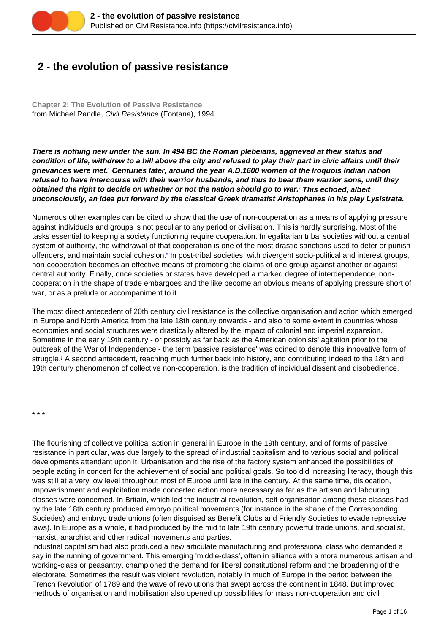

# **2 - the evolution of passive resistance**

**Chapter 2: The Evolution of Passive Resistance** from Michael Randle, Civil Resistance (Fontana), 1994

**There is nothing new under the sun. In 494 BC the Roman plebeians, aggrieved at their status and condition of life, withdrew to a hill above the city and refused to play their part in civic affairs until their grievances were met.**<sup>1</sup>  **Centuries later, around the year A.D.1600 women of the Iroquois Indian nation refused to have intercourse with their warrior husbands, and thus to bear them warrior sons, until they obtained the right to decide on whether or not the nation should go to war.**<sup>2</sup>  **This echoed, albeit unconsciously, an idea put forward by the classical Greek dramatist Aristophanes in his play Lysistrata.**

Numerous other examples can be cited to show that the use of non-cooperation as a means of applying pressure against individuals and groups is not peculiar to any period or civilisation. This is hardly surprising. Most of the tasks essential to keeping a society functioning require cooperation. In egalitarian tribal societies without a central system of authority, the withdrawal of that cooperation is one of the most drastic sanctions used to deter or punish offenders, and maintain social cohesion.<sup>3</sup> In post-tribal societies, with divergent socio-political and interest groups, non-cooperation becomes an effective means of promoting the claims of one group against another or against central authority. Finally, once societies or states have developed a marked degree of interdependence, noncooperation in the shape of trade embargoes and the like become an obvious means of applying pressure short of war, or as a prelude or accompaniment to it.

The most direct antecedent of 20th century civil resistance is the collective organisation and action which emerged in Europe and North America from the late 18th century onwards - and also to some extent in countries whose economies and social structures were drastically altered by the impact of colonial and imperial expansion. Sometime in the early 19th century - or possibly as far back as the American colonists' agitation prior to the outbreak of the War of Independence - the term 'passive resistance' was coined to denote this innovative form of struggle.<sup>5</sup> A second antecedent, reaching much further back into history, and contributing indeed to the 18th and 19th century phenomenon of collective non-cooperation, is the tradition of individual dissent and disobedience.

\* \* \*

The flourishing of collective political action in general in Europe in the 19th century, and of forms of passive resistance in particular, was due largely to the spread of industrial capitalism and to various social and political developments attendant upon it. Urbanisation and the rise of the factory system enhanced the possibilities of people acting in concert for the achievement of social and political goals. So too did increasing literacy, though this was still at a very low level throughout most of Europe until late in the century. At the same time, dislocation, impoverishment and exploitation made concerted action more necessary as far as the artisan and labouring classes were concerned. In Britain, which led the industrial revolution, self-organisation among these classes had by the late 18th century produced embryo political movements (for instance in the shape of the Corresponding Societies) and embryo trade unions (often disguised as Benefit Clubs and Friendly Societies to evade repressive laws). In Europe as a whole, it had produced by the mid to late 19th century powerful trade unions, and socialist, marxist, anarchist and other radical movements and parties.

Industrial capitalism had also produced a new articulate manufacturing and professional class who demanded a say in the running of government. This emerging 'middle-class', often in alliance with a more numerous artisan and working-class or peasantry, championed the demand for liberal constitutional reform and the broadening of the electorate. Sometimes the result was violent revolution, notably in much of Europe in the period between the French Revolution of 1789 and the wave of revolutions that swept across the continent in 1848. But improved methods of organisation and mobilisation also opened up possibilities for mass non-cooperation and civil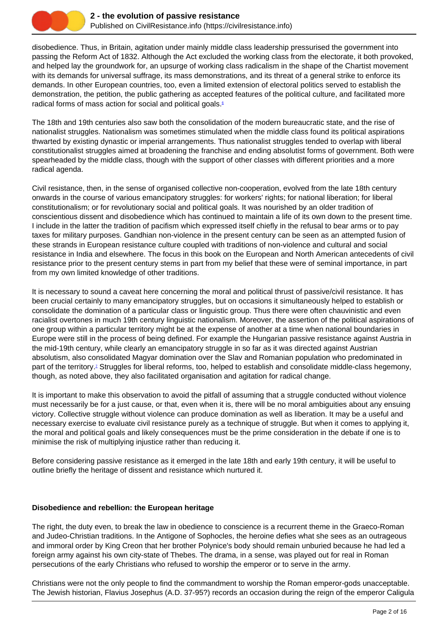

disobedience. Thus, in Britain, agitation under mainly middle class leadership pressurised the government into passing the Reform Act of 1832. Although the Act excluded the working class from the electorate, it both provoked, and helped lay the groundwork for, an upsurge of working class radicalism in the shape of the Chartist movement with its demands for universal suffrage, its mass demonstrations, and its threat of a general strike to enforce its demands. In other European countries, too, even a limited extension of electoral politics served to establish the demonstration, the petition, the public gathering as accepted features of the political culture, and facilitated more radical forms of mass action for social and political goals.<sup>6</sup>

The 18th and 19th centuries also saw both the consolidation of the modern bureaucratic state, and the rise of nationalist struggles. Nationalism was sometimes stimulated when the middle class found its political aspirations thwarted by existing dynastic or imperial arrangements. Thus nationalist struggles tended to overlap with liberal constitutionalist struggles aimed at broadening the franchise and ending absolutist forms of government. Both were spearheaded by the middle class, though with the support of other classes with different priorities and a more radical agenda.

Civil resistance, then, in the sense of organised collective non-cooperation, evolved from the late 18th century onwards in the course of various emancipatory struggles: for workers' rights; for national liberation; for liberal constitutionalism; or for revolutionary social and political goals. It was nourished by an older tradition of conscientious dissent and disobedience which has continued to maintain a life of its own down to the present time. I include in the latter the tradition of pacifism which expressed itself chiefly in the refusal to bear arms or to pay taxes for military purposes. Gandhian non-violence in the present century can be seen as an attempted fusion of these strands in European resistance culture coupled with traditions of non-violence and cultural and social resistance in India and elsewhere. The focus in this book on the European and North American antecedents of civil resistance prior to the present century stems in part from my belief that these were of seminal importance, in part from my own limited knowledge of other traditions.

It is necessary to sound a caveat here concerning the moral and political thrust of passive/civil resistance. It has been crucial certainly to many emancipatory struggles, but on occasions it simultaneously helped to establish or consolidate the domination of a particular class or linguistic group. Thus there were often chauvinistic and even racialist overtones in much 19th century linguistic nationalism. Moreover, the assertion of the political aspirations of one group within a particular territory might be at the expense of another at a time when national boundaries in Europe were still in the process of being defined. For example the Hungarian passive resistance against Austria in the mid-19th century, while clearly an emancipatory struggle in so far as it was directed against Austrian absolutism, also consolidated Magyar domination over the Slav and Romanian population who predominated in part of the territory.<sup>z</sup> Struggles for liberal reforms, too, helped to establish and consolidate middle-class hegemony, though, as noted above, they also facilitated organisation and agitation for radical change.

It is important to make this observation to avoid the pitfall of assuming that a struggle conducted without violence must necessarily be for a just cause, or that, even when it is, there will be no moral ambiguities about any ensuing victory. Collective struggle without violence can produce domination as well as liberation. It may be a useful and necessary exercise to evaluate civil resistance purely as a technique of struggle. But when it comes to applying it, the moral and political goals and likely consequences must be the prime consideration in the debate if one is to minimise the risk of multiplying injustice rather than reducing it.

Before considering passive resistance as it emerged in the late 18th and early 19th century, it will be useful to outline briefly the heritage of dissent and resistance which nurtured it.

# **Disobedience and rebellion: the European heritage**

The right, the duty even, to break the law in obedience to conscience is a recurrent theme in the Graeco-Roman and Judeo-Christian traditions. In the Antigone of Sophocles, the heroine defies what she sees as an outrageous and immoral order by King Creon that her brother Polynice's body should remain unburied because he had led a foreign army against his own city-state of Thebes. The drama, in a sense, was played out for real in Roman persecutions of the early Christians who refused to worship the emperor or to serve in the army.

Christians were not the only people to find the commandment to worship the Roman emperor-gods unacceptable. The Jewish historian, Flavius Josephus (A.D. 37-95?) records an occasion during the reign of the emperor Caligula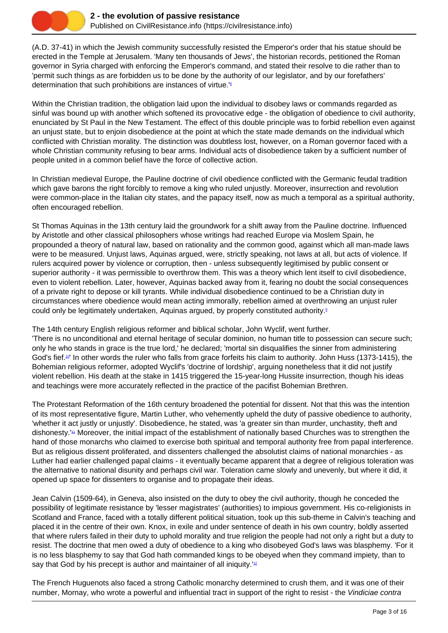

(A.D. 37-41) in which the Jewish community successfully resisted the Emperor's order that his statue should be erected in the Temple at Jerusalem. 'Many ten thousands of Jews', the historian records, petitioned the Roman governor in Syria charged with enforcing the Emperor's command, and stated their resolve to die rather than to 'permit such things as are forbidden us to be done by the authority of our legislator, and by our forefathers' determination that such prohibitions are instances of virtue.'<sup>8</sup>

Within the Christian tradition, the obligation laid upon the individual to disobey laws or commands regarded as sinful was bound up with another which softened its provocative edge - the obligation of obedience to civil authority, enunciated by St Paul in the New Testament. The effect of this double principle was to forbid rebellion even against an unjust state, but to enjoin disobedience at the point at which the state made demands on the individual which conflicted with Christian morality. The distinction was doubtless lost, however, on a Roman governor faced with a whole Christian community refusing to bear arms. Individual acts of disobedience taken by a sufficient number of people united in a common belief have the force of collective action.

In Christian medieval Europe, the Pauline doctrine of civil obedience conflicted with the Germanic feudal tradition which gave barons the right forcibly to remove a king who ruled unjustly. Moreover, insurrection and revolution were common-place in the Italian city states, and the papacy itself, now as much a temporal as a spiritual authority, often encouraged rebellion.

St Thomas Aquinas in the 13th century laid the groundwork for a shift away from the Pauline doctrine. Influenced by Aristotle and other classical philosophers whose writings had reached Europe via Moslem Spain, he propounded a theory of natural law, based on rationality and the common good, against which all man-made laws were to be measured. Unjust laws, Aquinas argued, were, strictly speaking, not laws at all, but acts of violence. If rulers acquired power by violence or corruption, then - unless subsequently legitimised by public consent or superior authority - it was permissible to overthrow them. This was a theory which lent itself to civil disobedience, even to violent rebellion. Later, however, Aquinas backed away from it, fearing no doubt the social consequences of a private right to depose or kill tyrants. While individual disobedience continued to be a Christian duty in circumstances where obedience would mean acting immorally, rebellion aimed at overthrowing an unjust ruler could only be legitimately undertaken, Aquinas argued, by properly constituted authority.<sup>9</sup>

# The 14th century English religious reformer and biblical scholar, John Wyclif, went further.

'There is no unconditional and eternal heritage of secular dominion, no human title to possession can secure such; only he who stands in grace is the true lord,' he declared; 'mortal sin disqualifies the sinner from administering God's fief.10' In other words the ruler who falls from grace forfeits his claim to authority. John Huss (1373-1415), the Bohemian religious reformer, adopted Wyclif's 'doctrine of lordship', arguing nonetheless that it did not justify violent rebellion. His death at the stake in 1415 triggered the 15-year-long Hussite insurrection, though his ideas and teachings were more accurately reflected in the practice of the pacifist Bohemian Brethren.

The Protestant Reformation of the 16th century broadened the potential for dissent. Not that this was the intention of its most representative figure, Martin Luther, who vehemently upheld the duty of passive obedience to authority, 'whether it act justly or unjustly'. Disobedience, he stated, was 'a greater sin than murder, unchastity, theft and dishonesty.'11 Moreover, the initial impact of the establishment of nationally based Churches was to strengthen the hand of those monarchs who claimed to exercise both spiritual and temporal authority free from papal interference. But as religious dissent proliferated, and dissenters challenged the absolutist claims of national monarchies - as Luther had earlier challenged papal claims - it eventually became apparent that a degree of religious toleration was the alternative to national disunity and perhaps civil war. Toleration came slowly and unevenly, but where it did, it opened up space for dissenters to organise and to propagate their ideas.

Jean Calvin (1509-64), in Geneva, also insisted on the duty to obey the civil authority, though he conceded the possibility of legitimate resistance by 'lesser magistrates' (authorities) to impious government. His co-religionists in Scotland and France, faced with a totally different political situation, took up this sub-theme in Calvin's teaching and placed it in the centre of their own. Knox, in exile and under sentence of death in his own country, boldly asserted that where rulers failed in their duty to uphold morality and true religion the people had not only a right but a duty to resist. The doctrine that men owed a duty of obedience to a king who disobeyed God's laws was blasphemy. 'For it is no less blasphemy to say that God hath commanded kings to be obeyed when they command impiety, than to say that God by his precept is author and maintainer of all iniquity.<sup>'12</sup>

The French Huguenots also faced a strong Catholic monarchy determined to crush them, and it was one of their number, Mornay, who wrote a powerful and influential tract in support of the right to resist - the Vindiciae contra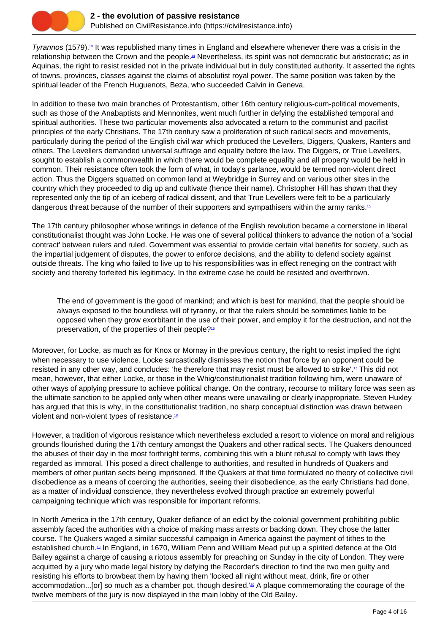

Tyrannos (1579).<sup>13</sup> It was republished many times in England and elsewhere whenever there was a crisis in the relationship between the Crown and the people.14 Nevertheless, its spirit was not democratic but aristocratic; as in Aquinas, the right to resist resided not in the private individual but in duly constituted authority. It asserted the rights of towns, provinces, classes against the claims of absolutist royal power. The same position was taken by the spiritual leader of the French Huguenots, Beza, who succeeded Calvin in Geneva.

In addition to these two main branches of Protestantism, other 16th century religious-cum-political movements, such as those of the Anabaptists and Mennonites, went much further in defying the established temporal and spiritual authorities. These two particular movements also advocated a return to the communist and pacifist principles of the early Christians. The 17th century saw a proliferation of such radical sects and movements, particularly during the period of the English civil war which produced the Levellers, Diggers, Quakers, Ranters and others. The Levellers demanded universal suffrage and equality before the law. The Diggers, or True Levellers, sought to establish a commonwealth in which there would be complete equality and all property would be held in common. Their resistance often took the form of what, in today's parlance, would be termed non-violent direct action. Thus the Diggers squatted on common land at Weybridge in Surrey and on various other sites in the country which they proceeded to dig up and cultivate (hence their name). Christopher Hill has shown that they represented only the tip of an iceberg of radical dissent, and that True Levellers were felt to be a particularly dangerous threat because of the number of their supporters and sympathisers within the army ranks.<sup>15</sup>

The 17th century philosopher whose writings in defence of the English revolution became a cornerstone in liberal constitutionalist thought was John Locke. He was one of several political thinkers to advance the notion of a 'social contract' between rulers and ruled. Government was essential to provide certain vital benefits for society, such as the impartial judgement of disputes, the power to enforce decisions, and the ability to defend society against outside threats. The king who failed to live up to his responsibilities was in effect reneging on the contract with society and thereby forfeited his legitimacy. In the extreme case he could be resisted and overthrown.

The end of government is the good of mankind; and which is best for mankind, that the people should be always exposed to the boundless will of tyranny, or that the rulers should be sometimes liable to be opposed when they grow exorbitant in the use of their power, and employ it for the destruction, and not the preservation, of the properties of their people?<sup>16</sup>

Moreover, for Locke, as much as for Knox or Mornay in the previous century, the right to resist implied the right when necessary to use violence. Locke sarcastically dismisses the notion that force by an opponent could be resisted in any other way, and concludes: 'he therefore that may resist must be allowed to strike'.17 This did not mean, however, that either Locke, or those in the Whig/constitutionalist tradition following him, were unaware of other ways of applying pressure to achieve political change. On the contrary, recourse to military force was seen as the ultimate sanction to be applied only when other means were unavailing or clearly inappropriate. Steven Huxley has argued that this is why, in the constitutionalist tradition, no sharp conceptual distinction was drawn between violent and non-violent types of resistance.<sup>18</sup>

However, a tradition of vigorous resistance which nevertheless excluded a resort to violence on moral and religious grounds flourished during the 17th century amongst the Quakers and other radical sects. The Quakers denounced the abuses of their day in the most forthright terms, combining this with a blunt refusal to comply with laws they regarded as immoral. This posed a direct challenge to authorities, and resulted in hundreds of Quakers and members of other puritan sects being imprisoned. If the Quakers at that time formulated no theory of collective civil disobedience as a means of coercing the authorities, seeing their disobedience, as the early Christians had done, as a matter of individual conscience, they nevertheless evolved through practice an extremely powerful campaigning technique which was responsible for important reforms.

In North America in the 17th century, Quaker defiance of an edict by the colonial government prohibiting public assembly faced the authorities with a choice of making mass arrests or backing down. They chose the latter course. The Quakers waged a similar successful campaign in America against the payment of tithes to the established church.19 In England, in 1670, William Penn and William Mead put up a spirited defence at the Old Bailey against a charge of causing a riotous assembly for preaching on Sunday in the city of London. They were acquitted by a jury who made legal history by defying the Recorder's direction to find the two men guilty and resisting his efforts to browbeat them by having them 'locked all night without meat, drink, fire or other accommodation...[or] so much as a chamber pot, though desired.<sup>120</sup> A plaque commemorating the courage of the twelve members of the jury is now displayed in the main lobby of the Old Bailey.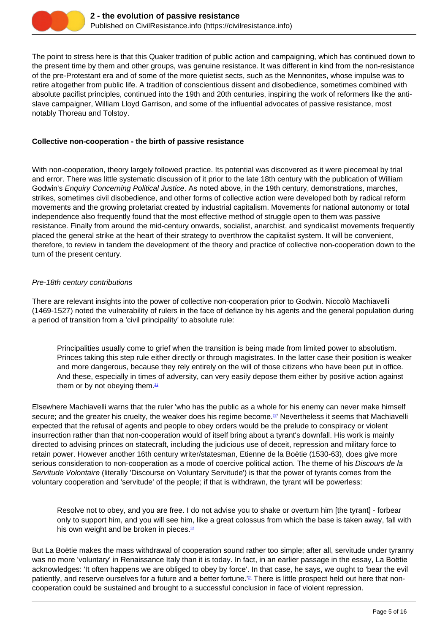

The point to stress here is that this Quaker tradition of public action and campaigning, which has continued down to the present time by them and other groups, was genuine resistance. It was different in kind from the non-resistance of the pre-Protestant era and of some of the more quietist sects, such as the Mennonites, whose impulse was to retire altogether from public life. A tradition of conscientious dissent and disobedience, sometimes combined with absolute pacifist principles, continued into the 19th and 20th centuries, inspiring the work of reformers like the antislave campaigner, William Lloyd Garrison, and some of the influential advocates of passive resistance, most notably Thoreau and Tolstoy.

#### **Collective non-cooperation - the birth of passive resistance**

With non-cooperation, theory largely followed practice. Its potential was discovered as it were piecemeal by trial and error. There was little systematic discussion of it prior to the late 18th century with the publication of William Godwin's Enquiry Concerning Political Justice. As noted above, in the 19th century, demonstrations, marches, strikes, sometimes civil disobedience, and other forms of collective action were developed both by radical reform movements and the growing proletariat created by industrial capitalism. Movements for national autonomy or total independence also frequently found that the most effective method of struggle open to them was passive resistance. Finally from around the mid-century onwards, socialist, anarchist, and syndicalist movements frequently placed the general strike at the heart of their strategy to overthrow the capitalist system. It will be convenient, therefore, to review in tandem the development of the theory and practice of collective non-cooperation down to the turn of the present century.

#### Pre-18th century contributions

There are relevant insights into the power of collective non-cooperation prior to Godwin. Niccolò Machiavelli (1469-1527) noted the vulnerability of rulers in the face of defiance by his agents and the general population during a period of transition from a 'civil principality' to absolute rule:

Principalities usually come to grief when the transition is being made from limited power to absolutism. Princes taking this step rule either directly or through magistrates. In the latter case their position is weaker and more dangerous, because they rely entirely on the will of those citizens who have been put in office. And these, especially in times of adversity, can very easily depose them either by positive action against them or by not obeying them.<sup>21</sup>

Elsewhere Machiavelli warns that the ruler 'who has the public as a whole for his enemy can never make himself secure; and the greater his cruelty, the weaker does his regime become.<sup>22'</sup> Nevertheless it seems that Machiavelli expected that the refusal of agents and people to obey orders would be the prelude to conspiracy or violent insurrection rather than that non-cooperation would of itself bring about a tyrant's downfall. His work is mainly directed to advising princes on statecraft, including the judicious use of deceit, repression and military force to retain power. However another 16th century writer/statesman, Etienne de la Boëtie (1530-63), does give more serious consideration to non-cooperation as a mode of coercive political action. The theme of his Discours de la Servitude Volontaire (literally 'Discourse on Voluntary Servitude') is that the power of tyrants comes from the voluntary cooperation and 'servitude' of the people; if that is withdrawn, the tyrant will be powerless:

Resolve not to obey, and you are free. I do not advise you to shake or overturn him [the tyrant] - forbear only to support him, and you will see him, like a great colossus from which the base is taken away, fall with his own weight and be broken in pieces.<sup>23</sup>

But La Boëtie makes the mass withdrawal of cooperation sound rather too simple; after all, servitude under tyranny was no more 'voluntary' in Renaissance Italy than it is today. In fact, in an earlier passage in the essay, La Boëtie acknowledges: 'It often happens we are obliged to obey by force'. In that case, he says, we ought to 'bear the evil patiently, and reserve ourselves for a future and a better fortune.<sup>124</sup> There is little prospect held out here that noncooperation could be sustained and brought to a successful conclusion in face of violent repression.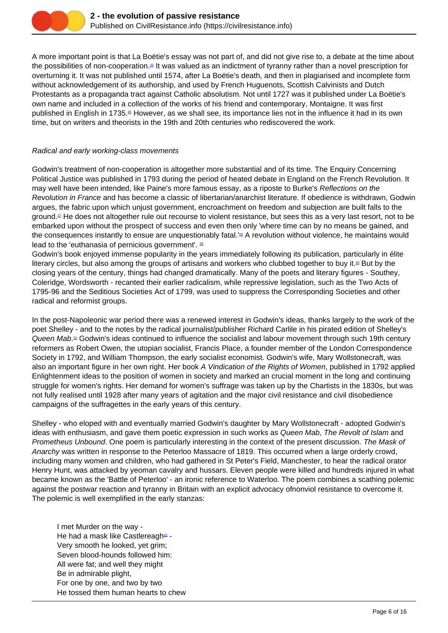

A more important point is that La Boëtie's essay was not part of, and did not give rise to, a debate at the time about the possibilities of non-cooperation.25 It was valued as an indictment of tyranny rather than a novel prescription for overturning it. It was not published until 1574, after La Boëtie's death, and then in plagiarised and incomplete form without acknowledgement of its authorship, and used by French Huguenots, Scottish Calvinists and Dutch Protestants as a propaganda tract against Catholic absolutism. Not until 1727 was it published under La Boëtie's own name and included in a collection of the works of his friend and contemporary, Montaigne. It was first published in English in 1735.<sup>26</sup> However, as we shall see, its importance lies not in the influence it had in its own time, but on writers and theorists in the 19th and 20th centuries who rediscovered the work.

#### Radical and early working-class movements

Godwin's treatment of non-cooperation is altogether more substantial and of its time. The Enquiry Concerning Political Justice was published in 1793 during the period of heated debate in England on the French Revolution. It may well have been intended, like Paine's more famous essay, as a riposte to Burke's Reflections on the Revolution in France and has become a classic of libertarian/anarchist literature. If obedience is withdrawn, Godwin argues, the fabric upon which unjust government, encroachment on freedom and subjection are built falls to the ground.<sup>27</sup> He does not altogether rule out recourse to violent resistance, but sees this as a very last resort, not to be embarked upon without the prospect of success and even then only 'where time can by no means be gained, and the consequences instantly to ensue are unquestionably fatal.'28 A revolution without violence, he maintains would lead to the 'euthanasia of pernicious government'.  $29$ 

Godwin's book enjoyed immense popularity in the years immediately following its publication, particularly in élite literary circles, but also among the groups of artisans and workers who clubbed together to buy it.<sup>30</sup> But by the closing years of the century, things had changed dramatically. Many of the poets and literary figures - Southey, Coleridge, Wordsworth - recanted their earlier radicalism, while repressive legislation, such as the Two Acts of 1795-96 and the Seditious Societies Act of 1799, was used to suppress the Corresponding Societies and other radical and reformist groups.

In the post-Napoleonic war period there was a renewed interest in Godwin's ideas, thanks largely to the work of the poet Shelley - and to the notes by the radical journalist/publisher Richard Carlile in his pirated edition of Shelley's Queen Mab.<sup>31</sup> Godwin's ideas continued to influence the socialist and labour movement through such 19th century reformers as Robert Owen, the utopian socialist, Francis Place, a founder member of the London Correspondence Society in 1792, and William Thompson, the early socialist economist. Godwin's wife, Mary Wollstonecraft, was also an important figure in her own right. Her book A Vindication of the Rights of Women, published in 1792 applied Enlightenment ideas to the position of women in society and marked an crucial moment in the long and continuing struggle for women's rights. Her demand for women's suffrage was taken up by the Chartists in the 1830s, but was not fully realised until 1928 after many years of agitation and the major civil resistance and civil disobedience campaigns of the suffragettes in the early years of this century.

Shelley - who eloped with and eventually married Godwin's daughter by Mary Wollstonecraft - adopted Godwin's ideas with enthusiasm, and gave them poetic expression in such works as Queen Mab, The Revolt of Islam and Prometheus Unbound. One poem is particularly interesting in the context of the present discussion. The Mask of Anarchy was written in response to the Peterloo Massacre of 1819. This occurred when a large orderly crowd, including many women and children, who had gathered in St Peter's Field, Manchester, to hear the radical orator Henry Hunt, was attacked by yeoman cavalry and hussars. Eleven people were killed and hundreds injured in what became known as the 'Battle of Peterloo' - an ironic reference to Waterloo. The poem combines a scathing polemic against the postwar reaction and tyranny in Britain with an explicit advocacy ofnonviol resistance to overcome it. The polemic is well exemplified in the early stanzas:

I met Murder on the way - He had a mask like Castlereagh $32 -$ Very smooth he looked, yet grim; Seven blood-hounds followed him: All were fat; and well they might Be in admirable plight, For one by one, and two by two He tossed them human hearts to chew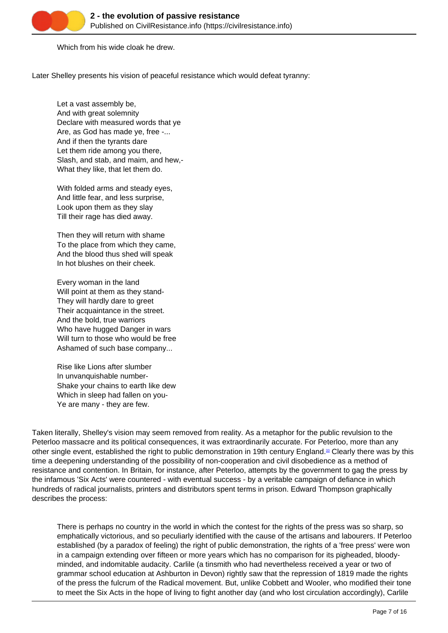

Which from his wide cloak he drew.

Later Shelley presents his vision of peaceful resistance which would defeat tyranny:

Let a vast assembly be, And with great solemnity Declare with measured words that ye Are, as God has made ye, free -... And if then the tyrants dare Let them ride among you there, Slash, and stab, and maim, and hew,- What they like, that let them do.

With folded arms and steady eyes, And little fear, and less surprise, Look upon them as they slay Till their rage has died away.

Then they will return with shame To the place from which they came, And the blood thus shed will speak In hot blushes on their cheek.

Every woman in the land Will point at them as they stand-They will hardly dare to greet Their acquaintance in the street. And the bold, true warriors Who have hugged Danger in wars Will turn to those who would be free Ashamed of such base company...

Rise like Lions after slumber In unvanquishable number-Shake your chains to earth like dew Which in sleep had fallen on you-Ye are many - they are few.

Taken literally, Shelley's vision may seem removed from reality. As a metaphor for the public revulsion to the Peterloo massacre and its political consequences, it was extraordinarily accurate. For Peterloo, more than any other single event, established the right to public demonstration in 19th century England.33 Clearly there was by this time a deepening understanding of the possibility of non-cooperation and civil disobedience as a method of resistance and contention. In Britain, for instance, after Peterloo, attempts by the government to gag the press by the infamous 'Six Acts' were countered - with eventual success - by a veritable campaign of defiance in which hundreds of radical journalists, printers and distributors spent terms in prison. Edward Thompson graphically describes the process:

There is perhaps no country in the world in which the contest for the rights of the press was so sharp, so emphatically victorious, and so peculiarly identified with the cause of the artisans and labourers. If Peterloo established (by a paradox of feeling) the right of public demonstration, the rights of a 'free press' were won in a campaign extending over fifteen or more years which has no comparison for its pigheaded, bloodyminded, and indomitable audacity. Carlile (a tinsmith who had nevertheless received a year or two of grammar school education at Ashburton in Devon) rightly saw that the repression of 1819 made the rights of the press the fulcrum of the Radical movement. But, unlike Cobbett and Wooler, who modified their tone to meet the Six Acts in the hope of living to fight another day (and who lost circulation accordingly), Carlile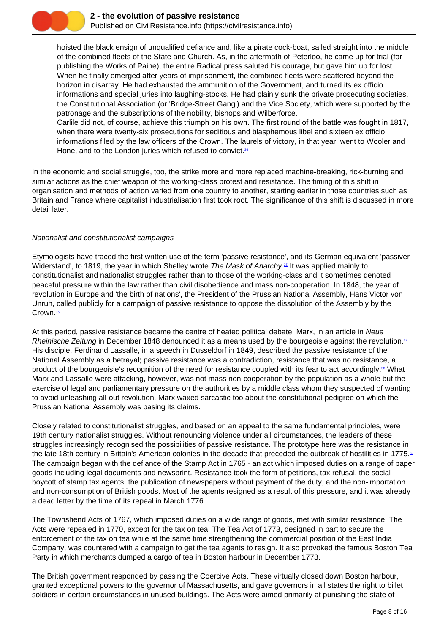

hoisted the black ensign of unqualified defiance and, like a pirate cock-boat, sailed straight into the middle of the combined fleets of the State and Church. As, in the aftermath of Peterloo, he came up for trial (for publishing the Works of Paine), the entire Radical press saluted his courage, but gave him up for lost. When he finally emerged after years of imprisonment, the combined fleets were scattered beyond the horizon in disarray. He had exhausted the ammunition of the Government, and turned its ex officio informations and special juries into laughing-stocks. He had plainly sunk the private prosecuting societies, the Constitutional Association (or 'Bridge-Street Gang') and the Vice Society, which were supported by the patronage and the subscriptions of the nobility, bishops and Wilberforce.

Carlile did not, of course, achieve this triumph on his own. The first round of the battle was fought in 1817, when there were twenty-six prosecutions for seditious and blasphemous libel and sixteen ex officio informations filed by the law officers of the Crown. The laurels of victory, in that year, went to Wooler and Hone, and to the London juries which refused to convict.<sup>34</sup>

In the economic and social struggle, too, the strike more and more replaced machine-breaking, rick-burning and similar actions as the chief weapon of the working-class protest and resistance. The timing of this shift in organisation and methods of action varied from one country to another, starting earlier in those countries such as Britain and France where capitalist industrialisation first took root. The significance of this shift is discussed in more detail later.

# Nationalist and constitutionalist campaigns

Etymologists have traced the first written use of the term 'passive resistance', and its German equivalent 'passiver Widerstand', to 1819, the year in which Shelley wrote *The Mask of Anarchy*.<sup>®</sup> It was applied mainly to constitutionalist and nationalist struggles rather than to those of the working-class and it sometimes denoted peaceful pressure within the law rather than civil disobedience and mass non-cooperation. In 1848, the year of revolution in Europe and 'the birth of nations', the President of the Prussian National Assembly, Hans Victor von Unruh, called publicly for a campaign of passive resistance to oppose the dissolution of the Assembly by the Crown.<sup>36</sup>

At this period, passive resistance became the centre of heated political debate. Marx, in an article in Neue Rheinische Zeitung in December 1848 denounced it as a means used by the bourgeoisie against the revolution.<sup>37</sup> His disciple, Ferdinand Lassalle, in a speech in Dusseldorf in 1849, described the passive resistance of the National Assembly as a betrayal; passive resistance was a contradiction, resistance that was no resistance, a product of the bourgeoisie's recognition of the need for resistance coupled with its fear to act accordingly.38 What Marx and Lassalle were attacking, however, was not mass non-cooperation by the population as a whole but the exercise of legal and parliamentary pressure on the authorities by a middle class whom they suspected of wanting to avoid unleashing all-out revolution. Marx waxed sarcastic too about the constitutional pedigree on which the Prussian National Assembly was basing its claims.

Closely related to constitutionalist struggles, and based on an appeal to the same fundamental principles, were 19th century nationalist struggles. Without renouncing violence under all circumstances, the leaders of these struggles increasingly recognised the possibilities of passive resistance. The prototype here was the resistance in the late 18th century in Britain's American colonies in the decade that preceded the outbreak of hostilities in 1775.<sup>39</sup> The campaign began with the defiance of the Stamp Act in 1765 - an act which imposed duties on a range of paper goods including legal documents and newsprint. Resistance took the form of petitions, tax refusal, the social boycott of stamp tax agents, the publication of newspapers without payment of the duty, and the non-importation and non-consumption of British goods. Most of the agents resigned as a result of this pressure, and it was already a dead letter by the time of its repeal in March 1776.

The Townshend Acts of 1767, which imposed duties on a wide range of goods, met with similar resistance. The Acts were repealed in 1770, except for the tax on tea. The Tea Act of 1773, designed in part to secure the enforcement of the tax on tea while at the same time strengthening the commercial position of the East India Company, was countered with a campaign to get the tea agents to resign. It also provoked the famous Boston Tea Party in which merchants dumped a cargo of tea in Boston harbour in December 1773.

The British government responded by passing the Coercive Acts. These virtually closed down Boston harbour, granted exceptional powers to the governor of Massachusetts, and gave governors in all states the right to billet soldiers in certain circumstances in unused buildings. The Acts were aimed primarily at punishing the state of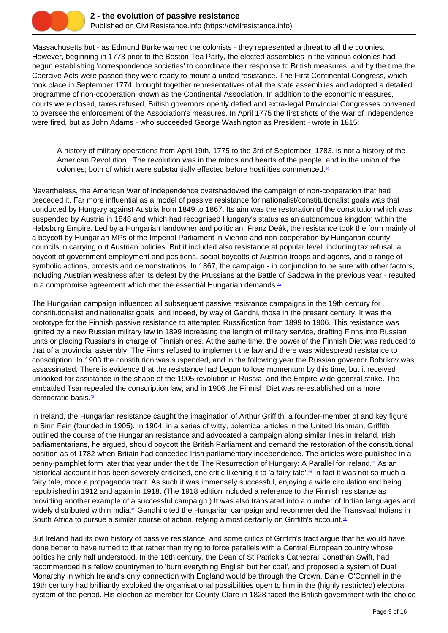

Massachusetts but - as Edmund Burke warned the colonists - they represented a threat to all the colonies. However, beginning in 1773 prior to the Boston Tea Party, the elected assemblies in the various colonies had begun establishing 'correspondence societies' to coordinate their response to British measures, and by the time the Coercive Acts were passed they were ready to mount a united resistance. The First Continental Congress, which took place in September 1774, brought together representatives of all the state assemblies and adopted a detailed programme of non-cooperation known as the Continental Association. In addition to the economic measures, courts were closed, taxes refused, British governors openly defied and extra-legal Provincial Congresses convened to oversee the enforcement of the Association's measures. In April 1775 the first shots of the War of Independence were fired, but as John Adams - who succeeded George Washington as President - wrote in 1815:

A history of military operations from April 19th, 1775 to the 3rd of September, 1783, is not a history of the American Revolution...The revolution was in the minds and hearts of the people, and in the union of the colonies; both of which were substantially effected before hostilities commenced.<sup>40</sup>

Nevertheless, the American War of Independence overshadowed the campaign of non-cooperation that had preceded it. Far more influential as a model of passive resistance for nationalist/constitutionalist goals was that conducted by Hungary against Austria from 1849 to 1867. Its aim was the restoration of the constitution which was suspended by Austria in 1848 and which had recognised Hungary's status as an autonomous kingdom within the Habsburg Empire. Led by a Hungarian landowner and politician, Franz Deák, the resistance took the form mainly of a boycott by Hungarian MPs of the Imperial Parliament in Vienna and non-cooperation by Hungarian county councils in carrying out Austrian policies. But it included also resistance at popular level, including tax refusal, a boycott of government employment and positions, social boycotts of Austrian troops and agents, and a range of symbolic actions, protests and demonstrations. In 1867, the campaign - in conjunction to be sure with other factors, including Austrian weakness after its defeat by the Prussians at the Battle of Sadowa in the previous year - resulted in a compromise agreement which met the essential Hungarian demands.<sup>41</sup>

The Hungarian campaign influenced all subsequent passive resistance campaigns in the 19th century for constitutionalist and nationalist goals, and indeed, by way of Gandhi, those in the present century. It was the prototype for the Finnish passive resistance to attempted Russification from 1899 to 1906. This resistance was ignited by a new Russian military law in 1899 increasing the length of military service, drafting Finns into Russian units or placing Russians in charge of Finnish ones. At the same time, the power of the Finnish Diet was reduced to that of a provincial assembly. The Finns refused to implement the law and there was widespread resistance to conscription. In 1903 the constitution was suspended, and in the following year the Russian governor Bobrikov was assassinated. There is evidence that the resistance had begun to lose momentum by this time, but it received unlooked-for assistance in the shape of the 1905 revolution in Russia, and the Empire-wide general strike. The embattled Tsar repealed the conscription law, and in 1906 the Finnish Diet was re-established on a more democratic basis.<sup>42</sup>

In Ireland, the Hungarian resistance caught the imagination of Arthur Griffith, a founder-member of and key figure in Sinn Fein (founded in 1905). In 1904, in a series of witty, polemical articles in the United Irishman, Griffith outlined the course of the Hungarian resistance and advocated a campaign along similar lines in Ireland. Irish parliamentarians, he argued, should boycott the British Parliament and demand the restoration of the constitutional position as of 1782 when Britain had conceded Irish parliamentary independence. The articles were published in a penny-pamphlet form later that year under the title The Resurrection of Hungary: A Parallel for Ireland.43 As an historical account it has been severely criticised, one critic likening it to 'a fairy tale'.<sup>44</sup> In fact it was not so much a fairy tale, more a propaganda tract. As such it was immensely successful, enjoying a wide circulation and being republished in 1912 and again in 1918. (The 1918 edition included a reference to the Finnish resistance as providing another example of a successful campaign.) It was also translated into a number of Indian languages and widely distributed within India.45 Gandhi cited the Hungarian campaign and recommended the Transvaal Indians in South Africa to pursue a similar course of action, relying almost certainly on Griffith's account.<sup>46</sup>

But Ireland had its own history of passive resistance, and some critics of Griffith's tract argue that he would have done better to have turned to that rather than trying to force parallels with a Central European country whose politics he only half understood. In the 18th century, the Dean of St Patrick's Cathedral, Jonathan Swift, had recommended his fellow countrymen to 'burn everything English but her coal', and proposed a system of Dual Monarchy in which Ireland's only connection with England would be through the Crown. Daniel O'Connell in the 19th century had brilliantly exploited the organisational possibilities open to him in the (highly restricted) electoral system of the period. His election as member for County Clare in 1828 faced the British government with the choice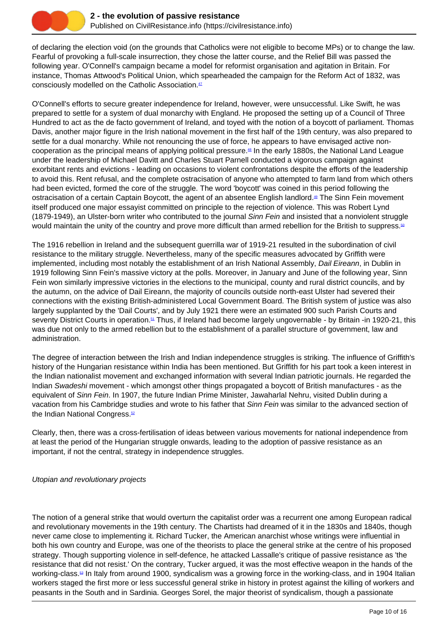

of declaring the election void (on the grounds that Catholics were not eligible to become MPs) or to change the law. Fearful of provoking a full-scale insurrection, they chose the latter course, and the Relief Bill was passed the following year. O'Connell's campaign became a model for reformist organisation and agitation in Britain. For instance, Thomas Attwood's Political Union, which spearheaded the campaign for the Reform Act of 1832, was consciously modelled on the Catholic Association.<sup>47</sup>

O'Connell's efforts to secure greater independence for Ireland, however, were unsuccessful. Like Swift, he was prepared to settle for a system of dual monarchy with England. He proposed the setting up of a Council of Three Hundred to act as the de facto government of Ireland, and toyed with the notion of a boycott of parliament. Thomas Davis, another major figure in the Irish national movement in the first half of the 19th century, was also prepared to settle for a dual monarchy. While not renouncing the use of force, he appears to have envisaged active noncooperation as the principal means of applying political pressure.48 In the early 1880s, the National Land League under the leadership of Michael Davitt and Charles Stuart Parnell conducted a vigorous campaign against exorbitant rents and evictions - leading on occasions to violent confrontations despite the efforts of the leadership to avoid this. Rent refusal, and the complete ostracisation of anyone who attempted to farm land from which others had been evicted, formed the core of the struggle. The word 'boycott' was coined in this period following the ostracisation of a certain Captain Boycott, the agent of an absentee English landlord.49 The Sinn Fein movement itself produced one major essayist committed on principle to the rejection of violence. This was Robert Lynd (1879-1949), an Ulster-born writer who contributed to the journal Sinn Fein and insisted that a nonviolent struggle would maintain the unity of the country and prove more difficult than armed rebellion for the British to suppress.<sup>50</sup>

The 1916 rebellion in Ireland and the subsequent guerrilla war of 1919-21 resulted in the subordination of civil resistance to the military struggle. Nevertheless, many of the specific measures advocated by Griffith were implemented, including most notably the establishment of an Irish National Assembly, Dail Eireann, in Dublin in 1919 following Sinn Fein's massive victory at the polls. Moreover, in January and June of the following year, Sinn Fein won similarly impressive victories in the elections to the municipal, county and rural district councils, and by the autumn, on the advice of Dail Eireann, the majority of councils outside north-east Ulster had severed their connections with the existing British-administered Local Government Board. The British system of justice was also largely supplanted by the 'Dail Courts', and by July 1921 there were an estimated 900 such Parish Courts and seventy District Courts in operation.<sup>51</sup> Thus, if Ireland had become largely ungovernable - by Britain -in 1920-21, this was due not only to the armed rebellion but to the establishment of a parallel structure of government, law and administration.

The degree of interaction between the Irish and Indian independence struggles is striking. The influence of Griffith's history of the Hungarian resistance within India has been mentioned. But Griffith for his part took a keen interest in the Indian nationalist movement and exchanged information with several Indian patriotic journals. He regarded the Indian Swadeshi movement - which amongst other things propagated a boycott of British manufactures - as the equivalent of Sinn Fein. In 1907, the future Indian Prime Minister, Jawaharlal Nehru, visited Dublin during a vacation from his Cambridge studies and wrote to his father that Sinn Fein was similar to the advanced section of the Indian National Congress.<sup>52</sup>

Clearly, then, there was a cross-fertilisation of ideas between various movements for national independence from at least the period of the Hungarian struggle onwards, leading to the adoption of passive resistance as an important, if not the central, strategy in independence struggles.

# Utopian and revolutionary projects

The notion of a general strike that would overturn the capitalist order was a recurrent one among European radical and revolutionary movements in the 19th century. The Chartists had dreamed of it in the 1830s and 1840s, though never came close to implementing it. Richard Tucker, the American anarchist whose writings were influential in both his own country and Europe, was one of the theorists to place the general strike at the centre of his proposed strategy. Though supporting violence in self-defence, he attacked Lassalle's critique of passive resistance as 'the resistance that did not resist.' On the contrary, Tucker argued, it was the most effective weapon in the hands of the working-class.<sup>53</sup> In Italy from around 1900, syndicalism was a growing force in the working-class, and in 1904 Italian workers staged the first more or less successful general strike in history in protest against the killing of workers and peasants in the South and in Sardinia. Georges Sorel, the major theorist of syndicalism, though a passionate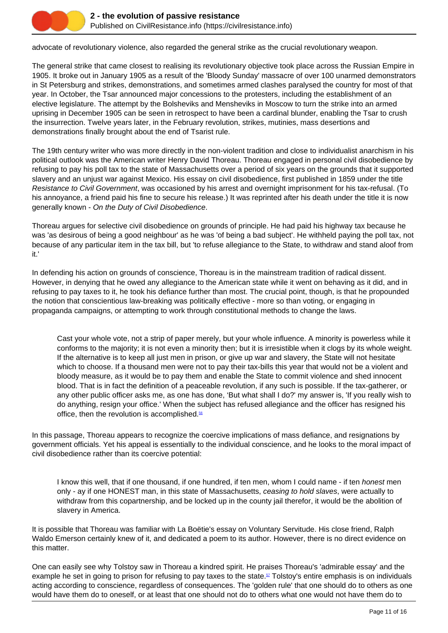

advocate of revolutionary violence, also regarded the general strike as the crucial revolutionary weapon.

The general strike that came closest to realising its revolutionary objective took place across the Russian Empire in 1905. It broke out in January 1905 as a result of the 'Bloody Sunday' massacre of over 100 unarmed demonstrators in St Petersburg and strikes, demonstrations, and sometimes armed clashes paralysed the country for most of that year. In October, the Tsar announced major concessions to the protesters, including the establishment of an elective legislature. The attempt by the Bolsheviks and Mensheviks in Moscow to turn the strike into an armed uprising in December 1905 can be seen in retrospect to have been a cardinal blunder, enabling the Tsar to crush the insurrection. Twelve years later, in the February revolution, strikes, mutinies, mass desertions and demonstrations finally brought about the end of Tsarist rule.

The 19th century writer who was more directly in the non-violent tradition and close to individualist anarchism in his political outlook was the American writer Henry David Thoreau. Thoreau engaged in personal civil disobedience by refusing to pay his poll tax to the state of Massachusetts over a period of six years on the grounds that it supported slavery and an unjust war against Mexico. His essay on civil disobedience, first published in 1859 under the title Resistance to Civil Government, was occasioned by his arrest and overnight imprisonment for his tax-refusal. (To his annoyance, a friend paid his fine to secure his release.) It was reprinted after his death under the title it is now generally known - On the Duty of Civil Disobedience.

Thoreau argues for selective civil disobedience on grounds of principle. He had paid his highway tax because he was 'as desirous of being a good neighbour' as he was 'of being a bad subject'. He withheld paying the poll tax, not because of any particular item in the tax bill, but 'to refuse allegiance to the State, to withdraw and stand aloof from it.'

In defending his action on grounds of conscience, Thoreau is in the mainstream tradition of radical dissent. However, in denying that he owed any allegiance to the American state while it went on behaving as it did, and in refusing to pay taxes to it, he took his defiance further than most. The crucial point, though, is that he propounded the notion that conscientious law-breaking was politically effective - more so than voting, or engaging in propaganda campaigns, or attempting to work through constitutional methods to change the laws.

Cast your whole vote, not a strip of paper merely, but your whole influence. A minority is powerless while it conforms to the majority; it is not even a minority then; but it is irresistible when it clogs by its whole weight. If the alternative is to keep all just men in prison, or give up war and slavery, the State will not hesitate which to choose. If a thousand men were not to pay their tax-bills this year that would not be a violent and bloody measure, as it would be to pay them and enable the State to commit violence and shed innocent blood. That is in fact the definition of a peaceable revolution, if any such is possible. If the tax-gatherer, or any other public officer asks me, as one has done, 'But what shall I do?' my answer is, 'If you really wish to do anything, resign your office.' When the subject has refused allegiance and the officer has resigned his office, then the revolution is accomplished.<sup>56</sup>

In this passage, Thoreau appears to recognize the coercive implications of mass defiance, and resignations by government officials. Yet his appeal is essentially to the individual conscience, and he looks to the moral impact of civil disobedience rather than its coercive potential:

I know this well, that if one thousand, if one hundred, if ten men, whom I could name - if ten honest men only - ay if one HONEST man, in this state of Massachusetts, ceasing to hold slaves, were actually to withdraw from this copartnership, and be locked up in the county jail therefor, it would be the abolition of slavery in America.

It is possible that Thoreau was familiar with La Boëtie's essay on Voluntary Servitude. His close friend, Ralph Waldo Emerson certainly knew of it, and dedicated a poem to its author. However, there is no direct evidence on this matter.

One can easily see why Tolstoy saw in Thoreau a kindred spirit. He praises Thoreau's 'admirable essay' and the example he set in going to prison for refusing to pay taxes to the state.57 Tolstoy's entire emphasis is on individuals acting according to conscience, regardless of consequences. The 'golden rule' that one should do to others as one would have them do to oneself, or at least that one should not do to others what one would not have them do to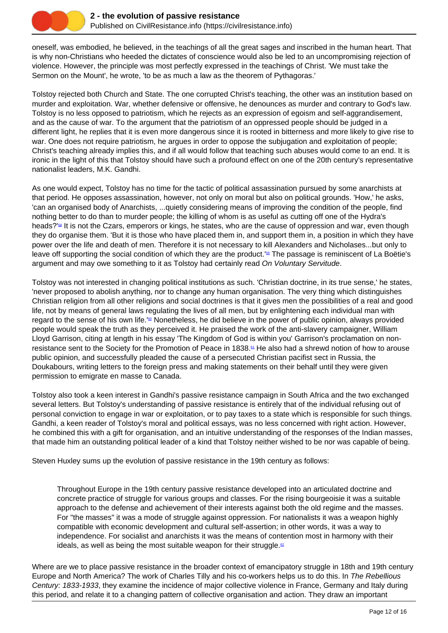

oneself, was embodied, he believed, in the teachings of all the great sages and inscribed in the human heart. That is why non-Christians who heeded the dictates of conscience would also be led to an uncompromising rejection of violence. However, the principle was most perfectly expressed in the teachings of Christ. 'We must take the Sermon on the Mount', he wrote, 'to be as much a law as the theorem of Pythagoras.'

Tolstoy rejected both Church and State. The one corrupted Christ's teaching, the other was an institution based on murder and exploitation. War, whether defensive or offensive, he denounces as murder and contrary to God's law. Tolstoy is no less opposed to patriotism, which he rejects as an expression of egoism and self-aggrandisement, and as the cause of war. To the argument that the patriotism of an oppressed people should be judged in a different light, he replies that it is even more dangerous since it is rooted in bitterness and more likely to give rise to war. One does not require patriotism, he argues in order to oppose the subjugation and exploitation of people; Christ's teaching already implies this, and if all would follow that teaching such abuses would come to an end. It is ironic in the light of this that Tolstoy should have such a profound effect on one of the 20th century's representative nationalist leaders, M.K. Gandhi.

As one would expect, Tolstoy has no time for the tactic of political assassination pursued by some anarchists at that period. He opposes assassination, however, not only on moral but also on political grounds. 'How,' he asks, 'can an organised body of Anarchists, ...quietly considering means of improving the condition of the people, find nothing better to do than to murder people; the killing of whom is as useful as cutting off one of the Hydra's heads?'58 It is not the Czars, emperors or kings, he states, who are the cause of oppression and war, even though they do organise them. 'But it is those who have placed them in, and support them in, a position in which they have power over the life and death of men. Therefore it is not necessary to kill Alexanders and Nicholases...but only to leave off supporting the social condition of which they are the product.'59 The passage is reminiscent of La Boëtie's argument and may owe something to it as Tolstoy had certainly read On Voluntary Servitude.

Tolstoy was not interested in changing political institutions as such. 'Christian doctrine, in its true sense,' he states, 'never proposed to abolish anything, nor to change any human organisation. The very thing which distinguishes Christian religion from all other religions and social doctrines is that it gives men the possibilities of a real and good life, not by means of general laws regulating the lives of all men, but by enlightening each individual man with regard to the sense of his own life.<sup>'®</sup> Nonetheless, he did believe in the power of public opinion, always provided people would speak the truth as they perceived it. He praised the work of the anti-slavery campaigner, William Lloyd Garrison, citing at length in his essay 'The Kingdom of God is within you' Garrison's proclamation on nonresistance sent to the Society for the Promotion of Peace in 1838.<sup>11</sup> He also had a shrewd notion of how to arouse public opinion, and successfully pleaded the cause of a persecuted Christian pacifist sect in Russia, the Doukabours, writing letters to the foreign press and making statements on their behalf until they were given permission to emigrate en masse to Canada.

Tolstoy also took a keen interest in Gandhi's passive resistance campaign in South Africa and the two exchanged several letters. But Tolstoy's understanding of passive resistance is entirely that of the individual refusing out of personal conviction to engage in war or exploitation, or to pay taxes to a state which is responsible for such things. Gandhi, a keen reader of Tolstoy's moral and political essays, was no less concerned with right action. However, he combined this with a gift for organisation, and an intuitive understanding of the responses of the Indian masses, that made him an outstanding political leader of a kind that Tolstoy neither wished to be nor was capable of being.

Steven Huxley sums up the evolution of passive resistance in the 19th century as follows:

Throughout Europe in the 19th century passive resistance developed into an articulated doctrine and concrete practice of struggle for various groups and classes. For the rising bourgeoisie it was a suitable approach to the defense and achievement of their interests against both the old regime and the masses. For "the masses" it was a mode of struggle against oppression. For nationalists it was a weapon highly compatible with economic development and cultural self-assertion; in other words, it was a way to independence. For socialist and anarchists it was the means of contention most in harmony with their ideals, as well as being the most suitable weapon for their struggle.<sup>62</sup>

Where are we to place passive resistance in the broader context of emancipatory struggle in 18th and 19th century Europe and North America? The work of Charles Tilly and his co-workers helps us to do this. In The Rebellious Century: 1833-1933, they examine the incidence of major collective violence in France, Germany and Italy during this period, and relate it to a changing pattern of collective organisation and action. They draw an important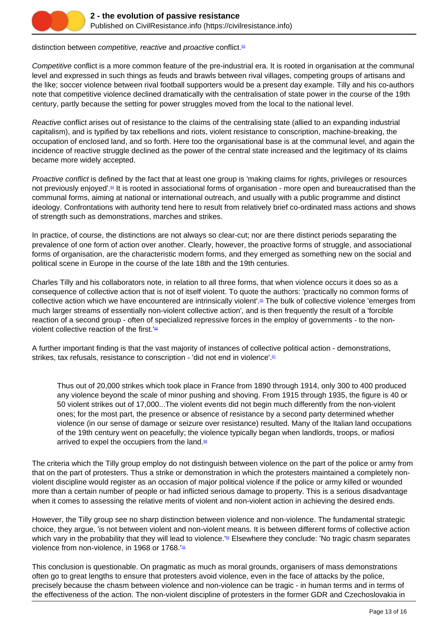

distinction between competitive, reactive and proactive conflict<sup>63</sup>

Competitive conflict is a more common feature of the pre-industrial era. It is rooted in organisation at the communal level and expressed in such things as feuds and brawls between rival villages, competing groups of artisans and the like; soccer violence between rival football supporters would be a present day example. Tilly and his co-authors note that competitive violence declined dramatically with the centralisation of state power in the course of the 19th century, partly because the setting for power struggles moved from the local to the national level.

Reactive conflict arises out of resistance to the claims of the centralising state (allied to an expanding industrial capitalism), and is typified by tax rebellions and riots, violent resistance to conscription, machine-breaking, the occupation of enclosed land, and so forth. Here too the organisational base is at the communal level, and again the incidence of reactive struggle declined as the power of the central state increased and the legitimacy of its claims became more widely accepted.

Proactive conflict is defined by the fact that at least one group is 'making claims for rights, privileges or resources not previously enjoyed'.<sup>84</sup> It is rooted in associational forms of organisation - more open and bureaucratised than the communal forms, aiming at national or international outreach, and usually with a public programme and distinct ideology. Confrontations with authority tend here to result from relatively brief co-ordinated mass actions and shows of strength such as demonstrations, marches and strikes.

In practice, of course, the distinctions are not always so clear-cut; nor are there distinct periods separating the prevalence of one form of action over another. Clearly, however, the proactive forms of struggle, and associational forms of organisation, are the characteristic modern forms, and they emerged as something new on the social and political scene in Europe in the course of the late 18th and the 19th centuries.

Charles Tilly and his collaborators note, in relation to all three forms, that when violence occurs it does so as a consequence of collective action that is not of itself violent. To quote the authors: 'practically no common forms of collective action which we have encountered are intrinsically violent'.65 The bulk of collective violence 'emerges from much larger streams of essentially non-violent collective action', and is then frequently the result of a 'forcible reaction of a second group - often of specialized repressive forces in the employ of governments - to the nonviolent collective reaction of the first.<sup>'66</sup>

A further important finding is that the vast majority of instances of collective political action - demonstrations, strikes, tax refusals, resistance to conscription - 'did not end in violence'<sup>67</sup>

Thus out of 20,000 strikes which took place in France from 1890 through 1914, only 300 to 400 produced any violence beyond the scale of minor pushing and shoving. From 1915 through 1935, the figure is 40 or 50 violent strikes out of 17,000...The violent events did not begin much differently from the non-violent ones; for the most part, the presence or absence of resistance by a second party determined whether violence (in our sense of damage or seizure over resistance) resulted. Many of the Italian land occupations of the 19th century went on peacefully; the violence typically began when landlords, troops, or mafiosi arrived to expel the occupiers from the land.<sup>68</sup>

The criteria which the Tilly group employ do not distinguish between violence on the part of the police or army from that on the part of protesters. Thus a strike or demonstration in which the protesters maintained a completely nonviolent discipline would register as an occasion of major political violence if the police or army killed or wounded more than a certain number of people or had inflicted serious damage to property. This is a serious disadvantage when it comes to assessing the relative merits of violent and non-violent action in achieving the desired ends.

However, the Tilly group see no sharp distinction between violence and non-violence. The fundamental strategic choice, they argue, 'is not between violent and non-violent means. It is between different forms of collective action which vary in the probability that they will lead to violence.'<sup>69</sup> Elsewhere they conclude: 'No tragic chasm separates violence from non-violence, in 1968 or 1768.'<sup>10</sup>

This conclusion is questionable. On pragmatic as much as moral grounds, organisers of mass demonstrations often go to great lengths to ensure that protesters avoid violence, even in the face of attacks by the police, precisely because the chasm between violence and non-violence can be tragic - in human terms and in terms of the effectiveness of the action. The non-violent discipline of protesters in the former GDR and Czechoslovakia in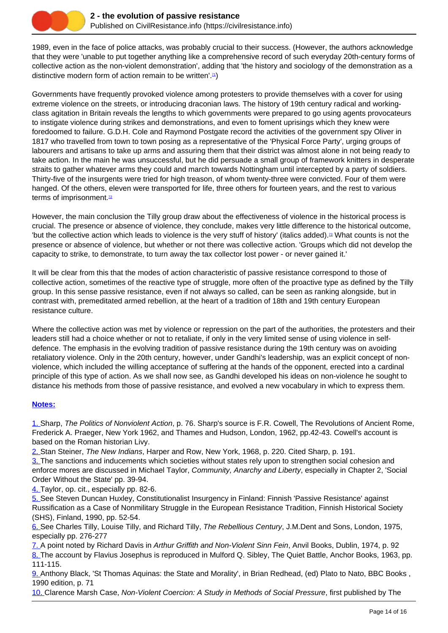

1989, even in the face of police attacks, was probably crucial to their success. (However, the authors acknowledge that they were 'unable to put together anything like a comprehensive record of such everyday 20th-century forms of collective action as the non-violent demonstration', adding that 'the history and sociology of the demonstration as a distinctive modern form of action remain to be written'.<sup> $1/2$ </sup>)

Governments have frequently provoked violence among protesters to provide themselves with a cover for using extreme violence on the streets, or introducing draconian laws. The history of 19th century radical and workingclass agitation in Britain reveals the lengths to which governments were prepared to go using agents provocateurs to instigate violence during strikes and demonstrations, and even to foment uprisings which they knew were foredoomed to failure. G.D.H. Cole and Raymond Postgate record the activities of the government spy Oliver in 1817 who travelled from town to town posing as a representative of the 'Physical Force Party', urging groups of labourers and artisans to take up arms and assuring them that their district was almost alone in not being ready to take action. In the main he was unsuccessful, but he did persuade a small group of framework knitters in desperate straits to gather whatever arms they could and march towards Nottingham until intercepted by a party of soldiers. Thirty-five of the insurgents were tried for high treason, of whom twenty-three were convicted. Four of them were hanged. Of the others, eleven were transported for life, three others for fourteen years, and the rest to various terms of imprisonment. $\frac{1}{2}$ 

However, the main conclusion the Tilly group draw about the effectiveness of violence in the historical process is crucial. The presence or absence of violence, they conclude, makes very little difference to the historical outcome, 'but the collective action which leads to violence is the very stuff of history' (italics added).<sup>73</sup> What counts is not the presence or absence of violence, but whether or not there was collective action. 'Groups which did not develop the capacity to strike, to demonstrate, to turn away the tax collector lost power - or never gained it.'

It will be clear from this that the modes of action characteristic of passive resistance correspond to those of collective action, sometimes of the reactive type of struggle, more often of the proactive type as defined by the Tilly group. In this sense passive resistance, even if not always so called, can be seen as ranking alongside, but in contrast with, premeditated armed rebellion, at the heart of a tradition of 18th and 19th century European resistance culture.

Where the collective action was met by violence or repression on the part of the authorities, the protesters and their leaders still had a choice whether or not to retaliate, if only in the very limited sense of using violence in selfdefence. The emphasis in the evolving tradition of passive resistance during the 19th century was on avoiding retaliatory violence. Only in the 20th century, however, under Gandhi's leadership, was an explicit concept of nonviolence, which included the willing acceptance of suffering at the hands of the opponent, erected into a cardinal principle of this type of action. As we shall now see, as Gandhi developed his ideas on non-violence he sought to distance his methods from those of passive resistance, and evolved a new vocabulary in which to express them.

# **Notes:**

1. Sharp, The Politics of Nonviolent Action, p. 76. Sharp's source is F.R. Cowell, The Revolutions of Ancient Rome, Frederick A. Praeger, New York 1962, and Thames and Hudson, London, 1962, pp.42-43. Cowell's account is based on the Roman historian Livy.

2. Stan Steiner, The New Indians, Harper and Row, New York, 1968, p. 220. Cited Sharp, p. 191.

3. The sanctions and inducements which societies without states rely upon to strengthen social cohesion and enforce mores are discussed in Michael Taylor, Community, Anarchy and Liberty, especially in Chapter 2, 'Social Order Without the State' pp. 39-94.

4. Taylor, op. cit., especially pp. 82-6.

5. See Steven Duncan Huxley, Constitutionalist Insurgency in Finland: Finnish 'Passive Resistance' against Russification as a Case of Nonmilitary Struggle in the European Resistance Tradition, Finnish Historical Society (SHS), Finland, 1990, pp. 52-54.

6. See Charles Tilly, Louise Tilly, and Richard Tilly, The Rebellious Century, J.M.Dent and Sons, London, 1975, especially pp. 276-277

7. A point noted by Richard Davis in Arthur Griffith and Non-Violent Sinn Fein, Anvil Books, Dublin, 1974, p. 92 8. The account by Flavius Josephus is reproduced in Mulford Q. Sibley, The Quiet Battle, Anchor Books, 1963, pp. 111-115.

9. Anthony Black, 'St Thomas Aquinas: the State and Morality', in Brian Redhead, (ed) Plato to Nato, BBC Books , 1990 edition, p. 71

10. Clarence Marsh Case, Non-Violent Coercion: A Study in Methods of Social Pressure, first published by The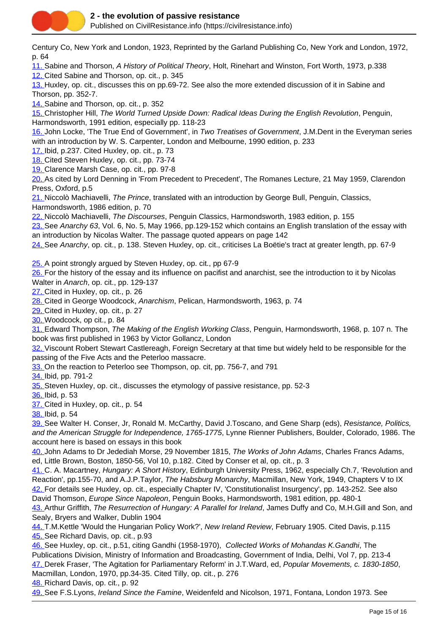

Century Co, New York and London, 1923, Reprinted by the Garland Publishing Co, New York and London, 1972, p. 64

11. Sabine and Thorson, A History of Political Theory, Holt, Rinehart and Winston, Fort Worth, 1973, p.338 12. Cited Sabine and Thorson, op. cit., p. 345

13. Huxley, op. cit., discusses this on pp.69-72. See also the more extended discussion of it in Sabine and Thorson, pp. 352-7.

14. Sabine and Thorson, op. cit., p. 352

15. Christopher Hill, The World Turned Upside Down: Radical Ideas During the English Revolution, Penguin, Harmondsworth, 1991 edition, especially pp. 118-23

16. John Locke, 'The True End of Government', in Two Treatises of Government, J.M.Dent in the Everyman series with an introduction by W. S. Carpenter, London and Melbourne, 1990 edition, p. 233

17. Ibid, p.237. Cited Huxley, op. cit., p. 73

18. Cited Steven Huxley, op. cit., pp. 73-74

19. Clarence Marsh Case, op. cit., pp. 97-8

20. As cited by Lord Denning in 'From Precedent to Precedent', The Romanes Lecture, 21 May 1959, Clarendon Press, Oxford, p.5

21. Niccolò Machiavelli, The Prince, translated with an introduction by George Bull, Penguin, Classics,

Harmondsworth, 1986 edition, p. 70

22. Niccolò Machiavelli, The Discourses, Penguin Classics, Harmondsworth, 1983 edition, p. 155

23. See Anarchy 63, Vol. 6, No. 5, May 1966, pp.129-152 which contains an English translation of the essay with an introduction by Nicolas Walter. The passage quoted appears on page 142

24. See Anarchy, op. cit., p. 138. Steven Huxley, op. cit., criticises La Boëtie's tract at greater length, pp. 67-9

25. A point strongly argued by Steven Huxley, op. cit., pp 67-9

26. For the history of the essay and its influence on pacifist and anarchist, see the introduction to it by Nicolas Walter in Anarch, op. cit., pp. 129-137

27. Cited in Huxley, op. cit., p. 26

28. Cited in George Woodcock, Anarchism, Pelican, Harmondsworth, 1963, p. 74

29. Cited in Huxley, op. cit., p. 27

30. Woodcock, op cit., p. 84

31. Edward Thompson, The Making of the English Working Class, Penguin, Harmondsworth, 1968, p. 107 n. The book was first published in 1963 by Victor Gollancz, London

32. Viscount Robert Stewart Castlereagh, Foreign Secretary at that time but widely held to be responsible for the passing of the Five Acts and the Peterloo massacre.

33. On the reaction to Peterloo see Thompson, op. cit, pp. 756-7, and 791

34. Ibid, pp. 791-2

35. Steven Huxley, op. cit., discusses the etymology of passive resistance, pp. 52-3

36. Ibid, p. 53

37. Cited in Huxley, op. cit., p. 54

38. Ibid, p. 54

39. See Walter H. Conser, Jr, Ronald M. McCarthy, David J.Toscano, and Gene Sharp (eds), Resistance, Politics, and the American Struggle for Independence, 1765-1775, Lynne Rienner Publishers, Boulder, Colorado, 1986. The account here is based on essays in this book

40. John Adams to Dr Jedediah Morse, 29 November 1815, The Works of John Adams, Charles Francs Adams, ed, Little Brown, Boston, 1850-56, Vol 10, p.182. Cited by Conser et al, op. cit., p. 3

41. C. A. Macartney, Hungary: A Short History, Edinburgh University Press, 1962, especially Ch.7, 'Revolution and Reaction', pp.155-70, and A.J.P.Taylor, The Habsburg Monarchy, Macmillan, New York, 1949, Chapters V to IX 42. For details see Huxley, op. cit., especially Chapter IV, 'Constitutionalist Insurgency', pp. 143-252. See also David Thomson, Europe Since Napoleon, Penguin Books, Harmondsworth, 1981 edition, pp. 480-1

43. Arthur Griffith, The Resurrection of Hungary: A Parallel for Ireland, James Duffy and Co, M.H.Gill and Son, and Sealy, Bryers and Walker, Dublin 1904

44. T.M.Kettle 'Would the Hungarian Policy Work?', New Ireland Review, February 1905. Cited Davis, p.115 45. See Richard Davis, op. cit., p.93

46. See Huxley, op. cit., p.51, citing Gandhi (1958-1970), Collected Works of Mohandas K.Gandhi, The Publications Division, Ministry of Information and Broadcasting, Government of India, Delhi, Vol 7, pp. 213-4 47. Derek Fraser, 'The Agitation for Parliamentary Reform' in J.T.Ward, ed, Popular Movements, c. 1830-1850, Macmillan, London, 1970, pp.34-35. Cited Tilly, op. cit., p. 276

48. Richard Davis, op. cit., p. 92

49. See F.S.Lyons, Ireland Since the Famine, Weidenfeld and Nicolson, 1971, Fontana, London 1973. See